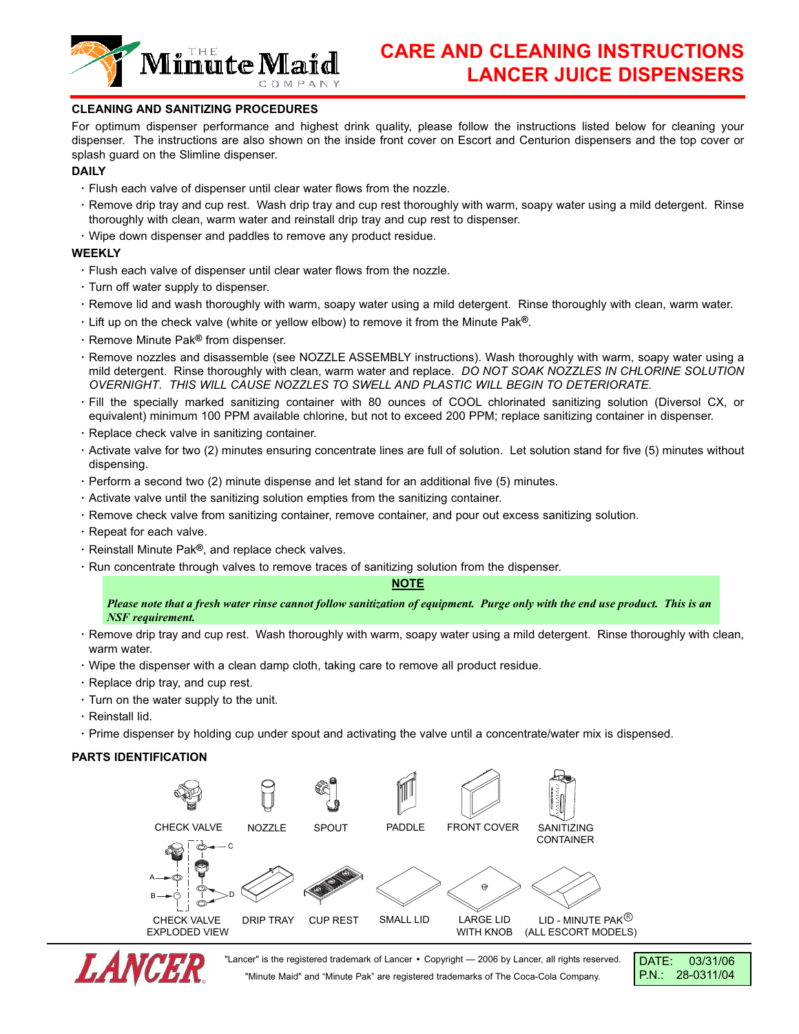

# **CLEANING AND SANITIZING PROCEDURES**

For optimum dispenser performance and highest drink quality, please follow the instructions listed below for cleaning your dispenser. The instructions are also shown on the inside front cover on Escort and Centurion dispensers and the top cover or splash guard on the Slimline dispenser.

### **DAILY**

- **·** Flush each valve of dispenser until clear water flows from the nozzle.
- **·** Remove drip tray and cup rest. Wash drip tray and cup rest thoroughly with warm, soapy water using a mild detergent. Rinse thoroughly with clean, warm water and reinstall drip tray and cup rest to dispenser.
- **·** Wipe down dispenser and paddles to remove any product residue.

### **WEEKLY**

- **·** Flush each valve of dispenser until clear water flows from the nozzle.
- **·** Turn off water supply to dispenser.
- **·** Remove lid and wash thoroughly with warm, soapy water using a mild detergent. Rinse thoroughly with clean, warm water.
- **·** Lift up on the check valve (white or yellow elbow) to remove it from the Minute Pak**®**.
- **·** Remove Minute Pak**®** from dispenser.
- **·** Remove nozzles and disassemble (see NOZZLE ASSEMBLY instructions). Wash thoroughly with warm, soapy water using a mild detergent. Rinse thoroughly with clean, warm water and replace. *DO NOT SOAK NOZZLES IN CHLORINE SOLUTION OVERNIGHT*. *THIS WILL CAUSE NOZZLES TO SWELL AND PLASTIC WILL BEGIN TO DETERIORATE.*
- **·** Fill the specially marked sanitizing container with 80 ounces of COOL chlorinated sanitizing solution (Diversol CX, or equivalent) minimum 100 PPM available chlorine, but not to exceed 200 PPM; replace sanitizing container in dispenser.
- **·** Replace check valve in sanitizing container.
- **·** Activate valve for two (2) minutes ensuring concentrate lines are full of solution. Let solution stand for five (5) minutes without dispensing.
- **·** Perform a second two (2) minute dispense and let stand for an additional five (5) minutes.
- **·** Activate valve until the sanitizing solution empties from the sanitizing container.
- **·** Remove check valve from sanitizing container, remove container, and pour out excess sanitizing solution.
- **·** Repeat for each valve.
- **·** Reinstall Minute Pak**®**, and replace check valves.
- **·** Run concentrate through valves to remove traces of sanitizing solution from the dispenser.

#### **NOTE**

#### *Please note that a fresh water rinse cannot follow sanitization of equipment. Purge only with the end use product. This is an NSF requirement.*

- **·** Remove drip tray and cup rest. Wash thoroughly with warm, soapy water using a mild detergent. Rinse thoroughly with clean, warm water.
- **·** Wipe the dispenser with a clean damp cloth, taking care to remove all product residue.
- **·** Replace drip tray, and cup rest.
- **·** Turn on the water supply to the unit.
- **·** Reinstall lid.
- **·** Prime dispenser by holding cup under spout and activating the valve until a concentrate/water mix is dispensed.

# **PARTS IDENTIFICATION**





"Lancer" is the registered trademark of Lancer **•** Copyright — 2006 by Lancer, all rights reserved. "Minute Maid" and "Minute Pak" are registered trademarks of The Coca-Cola Company.

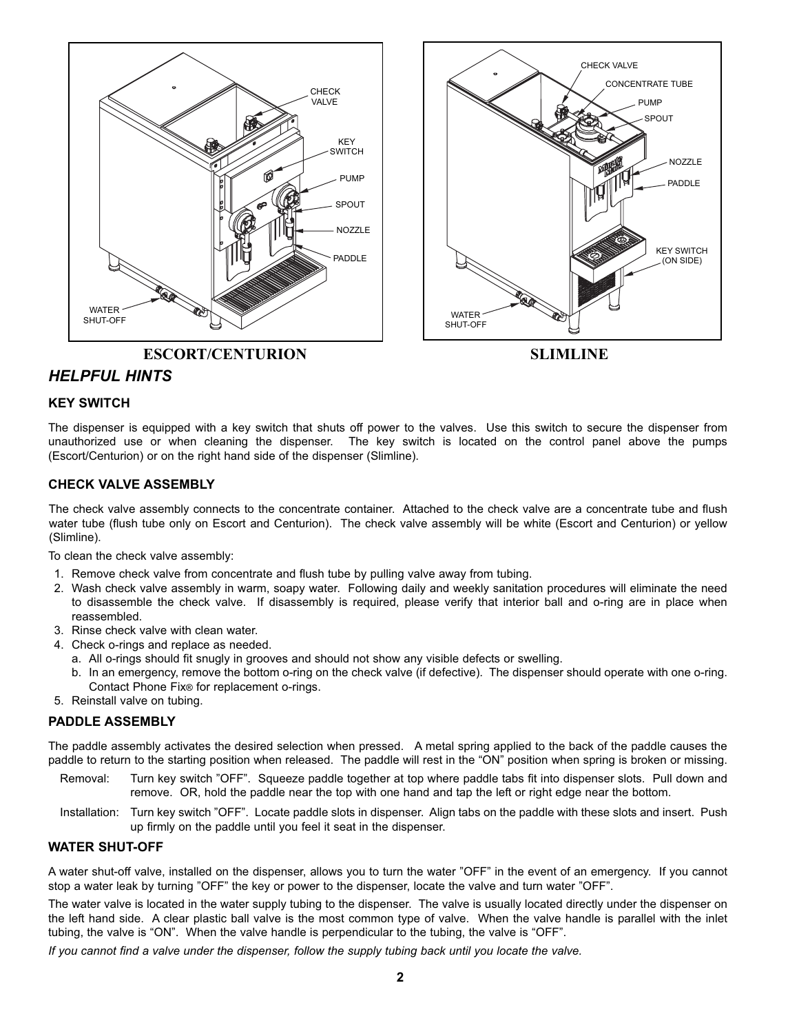



# *HELPFUL HINTS*

# **KEY SWITCH**

The dispenser is equipped with a key switch that shuts off power to the valves. Use this switch to secure the dispenser from unauthorized use or when cleaning the dispenser. The key switch is located on the control panel above the pumps (Escort/Centurion) or on the right hand side of the dispenser (Slimline).

# **CHECK VALVE ASSEMBLY**

The check valve assembly connects to the concentrate container. Attached to the check valve are a concentrate tube and flush water tube (flush tube only on Escort and Centurion). The check valve assembly will be white (Escort and Centurion) or yellow (Slimline).

To clean the check valve assembly:

- 1. Remove check valve from concentrate and flush tube by pulling valve away from tubing.
- 2. Wash check valve assembly in warm, soapy water. Following daily and weekly sanitation procedures will eliminate the need to disassemble the check valve. If disassembly is required, please verify that interior ball and o-ring are in place when reassembled.
- 3. Rinse check valve with clean water.
- 4. Check o-rings and replace as needed.
	- a. All o-rings should fit snugly in grooves and should not show any visible defects or swelling.
	- b. In an emergency, remove the bottom o-ring on the check valve (if defective). The dispenser should operate with one o-ring. Contact Phone Fix® for replacement o-rings.
- 5. Reinstall valve on tubing.

# **PADDLE ASSEMBLY**

The paddle assembly activates the desired selection when pressed. A metal spring applied to the back of the paddle causes the paddle to return to the starting position when released. The paddle will rest in the "ON" position when spring is broken or missing.

- Removal: Turn key switch "OFF". Squeeze paddle together at top where paddle tabs fit into dispenser slots. Pull down and remove. OR, hold the paddle near the top with one hand and tap the left or right edge near the bottom.
- Installation: Turn key switch "OFF". Locate paddle slots in dispenser. Align tabs on the paddle with these slots and insert. Push up firmly on the paddle until you feel it seat in the dispenser.

# **WATER SHUT-OFF**

A water shut-off valve, installed on the dispenser, allows you to turn the water "OFF" in the event of an emergency. If you cannot stop a water leak by turning "OFF" the key or power to the dispenser, locate the valve and turn water "OFF".

The water valve is located in the water supply tubing to the dispenser. The valve is usually located directly under the dispenser on the left hand side. A clear plastic ball valve is the most common type of valve. When the valve handle is parallel with the inlet tubing, the valve is "ON". When the valve handle is perpendicular to the tubing, the valve is "OFF".

*If you cannot find a valve under the dispenser, follow the supply tubing back until you locate the valve.*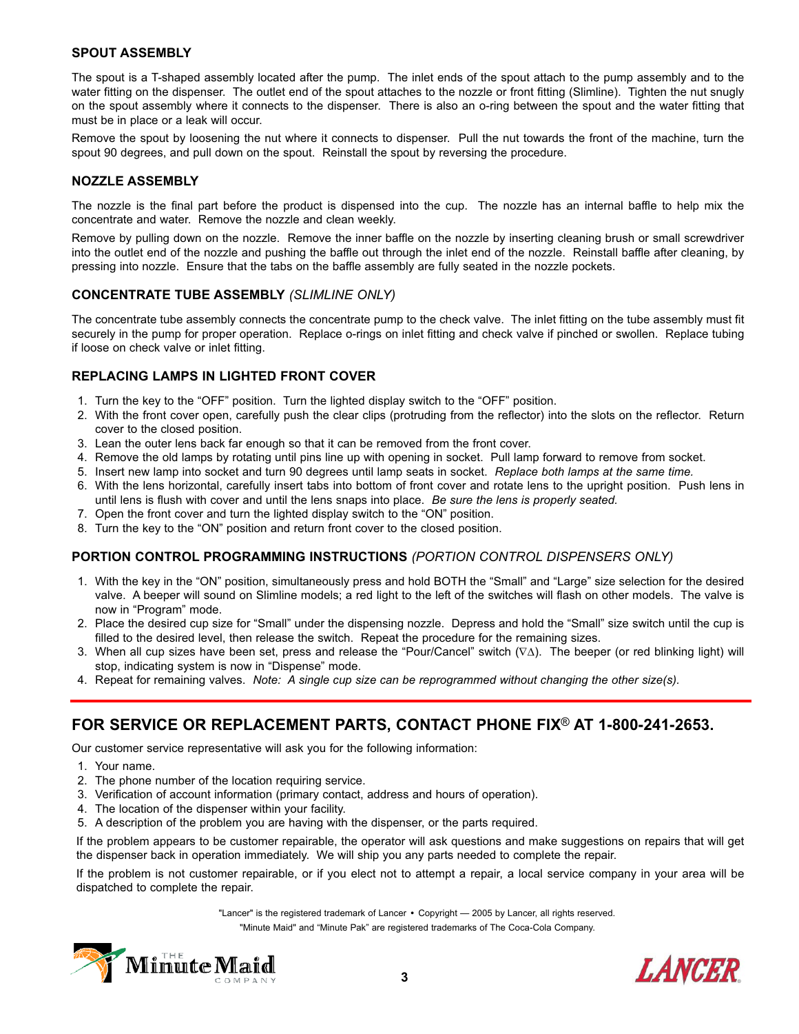# **SPOUT ASSEMBLY**

The spout is a T-shaped assembly located after the pump. The inlet ends of the spout attach to the pump assembly and to the water fitting on the dispenser. The outlet end of the spout attaches to the nozzle or front fitting (Slimline). Tighten the nut snugly on the spout assembly where it connects to the dispenser. There is also an o-ring between the spout and the water fitting that must be in place or a leak will occur.

Remove the spout by loosening the nut where it connects to dispenser. Pull the nut towards the front of the machine, turn the spout 90 degrees, and pull down on the spout. Reinstall the spout by reversing the procedure.

### **NOZZLE ASSEMBLY**

The nozzle is the final part before the product is dispensed into the cup. The nozzle has an internal baffle to help mix the concentrate and water. Remove the nozzle and clean weekly.

Remove by pulling down on the nozzle. Remove the inner baffle on the nozzle by inserting cleaning brush or small screwdriver into the outlet end of the nozzle and pushing the baffle out through the inlet end of the nozzle. Reinstall baffle after cleaning, by pressing into nozzle. Ensure that the tabs on the baffle assembly are fully seated in the nozzle pockets.

# **CONCENTRATE TUBE ASSEMBLY** *(SLIMLINE ONLY)*

The concentrate tube assembly connects the concentrate pump to the check valve. The inlet fitting on the tube assembly must fit securely in the pump for proper operation. Replace o-rings on inlet fitting and check valve if pinched or swollen. Replace tubing if loose on check valve or inlet fitting.

# **REPLACING LAMPS IN LIGHTED FRONT COVER**

- 1. Turn the key to the "OFF" position. Turn the lighted display switch to the "OFF" position.
- 2. With the front cover open, carefully push the clear clips (protruding from the reflector) into the slots on the reflector. Return cover to the closed position.
- 3. Lean the outer lens back far enough so that it can be removed from the front cover.
- 4. Remove the old lamps by rotating until pins line up with opening in socket. Pull lamp forward to remove from socket.
- 5. Insert new lamp into socket and turn 90 degrees until lamp seats in socket. *Replace both lamps at the same time.*
- 6. With the lens horizontal, carefully insert tabs into bottom of front cover and rotate lens to the upright position. Push lens in until lens is flush with cover and until the lens snaps into place. *Be sure the lens is properly seated.*
- 7. Open the front cover and turn the lighted display switch to the "ON" position.
- 8. Turn the key to the "ON" position and return front cover to the closed position.

# **PORTION CONTROL PROGRAMMING INSTRUCTIONS** *(PORTION CONTROL DISPENSERS ONLY)*

- 1. With the key in the "ON" position, simultaneously press and hold BOTH the "Small" and "Large" size selection for the desired valve. A beeper will sound on Slimline models; a red light to the left of the switches will flash on other models. The valve is now in "Program" mode.
- 2. Place the desired cup size for "Small" under the dispensing nozzle. Depress and hold the "Small" size switch until the cup is filled to the desired level, then release the switch. Repeat the procedure for the remaining sizes.
- 3. When all cup sizes have been set, press and release the "Pour/Cancel" switch (∇△). The beeper (or red blinking light) will stop, indicating system is now in "Dispense" mode.
- 4. Repeat for remaining valves. *Note: A single cup size can be reprogrammed without changing the other size(s).*

# **FOR SERVICE OR REPLACEMENT PARTS, CONTACT PHONE FIX**® **AT 1-800-241-2653.**

Our customer service representative will ask you for the following information:

- 1. Your name.
- 2. The phone number of the location requiring service.
- 3. Verification of account information (primary contact, address and hours of operation).
- 4. The location of the dispenser within your facility.
- 5. A description of the problem you are having with the dispenser, or the parts required.

If the problem appears to be customer repairable, the operator will ask questions and make suggestions on repairs that will get the dispenser back in operation immediately. We will ship you any parts needed to complete the repair.

If the problem is not customer repairable, or if you elect not to attempt a repair, a local service company in your area will be dispatched to complete the repair.

> "Lancer" is the registered trademark of Lancer **•** Copyright — 2005 by Lancer, all rights reserved. "Minute Maid" and "Minute Pak" are registered trademarks of The Coca-Cola Company.